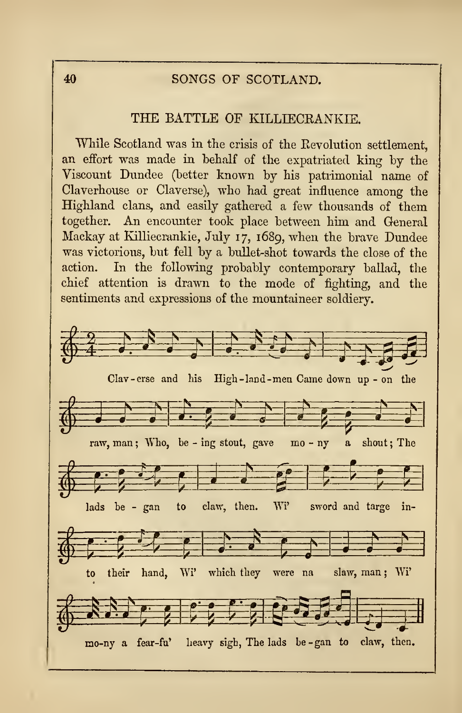# <sup>40</sup> SONGS OF SCOTLAND.

## THE BATTLE OF KILLIECRANKIE.

While Scotland was in the crisis of the Eevolution settlement, an effort was made in behalf of the expatriated king by the Viscount Dundee (better known by his patrimonial name of Claverhouse or Claverse), who had great influence among the Highland clans, and easily gathered a few thousands of them together. An encounter took place between him and General Mackay at Killiecrankie, July 17, 1689, when the brave Dundee was victorious, but fell by a bullet-shot towards the close of the action. In the following probably contemporary ballad, the chief attention is drawn to the mode of fighting, and the sentiments and expressions of the mountaineer soldiery.

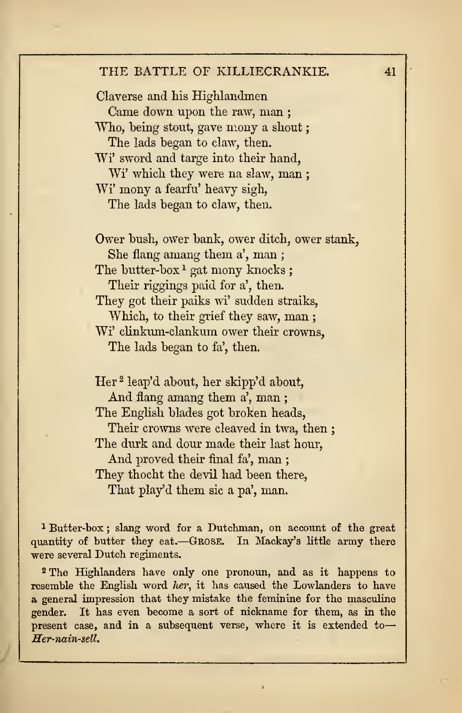#### THE BATTLE OF KILLIECRANKIE. 41

Claverse and his Highlandmen Came down upon the raw, man ; Who, being stout, gave mony a shout: The lads began to claw, then. Wi' sword and targe into their hand, Wi' which they were na slaw, man ; Wi' mony a fearfu' heavy sigh, The lads began to claw, then.

Ower bush, ower bank, ower ditch, ower stank, She flang amang them a', man ; The butter-box<sup>1</sup> gat mony knocks; Their riggings paid for a', then. They got their paiks wi' sudden straiks, Which, to their grief they saw, man ; Wi' clinkum-clankum ower their crowns, The lads began to fa', then.

Her <sup>2</sup> leap'd about, her skipp'd about, And flang amang them a', man; The English blades got broken heads, Their crowns were cleaved in twa, then ; The durk and dour made their last hour, And proved their final fa', man ; They thocht the devil had been there, That play'd them sic a pa', man.

<sup>1</sup> Butter-box ; slang word for a Dutchman, on account of the great quantity of butter they eat.—GROSE. In Mackay'3 little army there were several Dutch regiments.

<sup>2</sup> The Highlanders have only one pronoun, and as it happens to resemble the English word her, it has caused the Lowlanders to have a general impression that they mistake the feminine for the masculine gender. It has even become a sort of nickname for them, as in the present case, and in a subsequent verse, where it is extended to Her-nain-sell.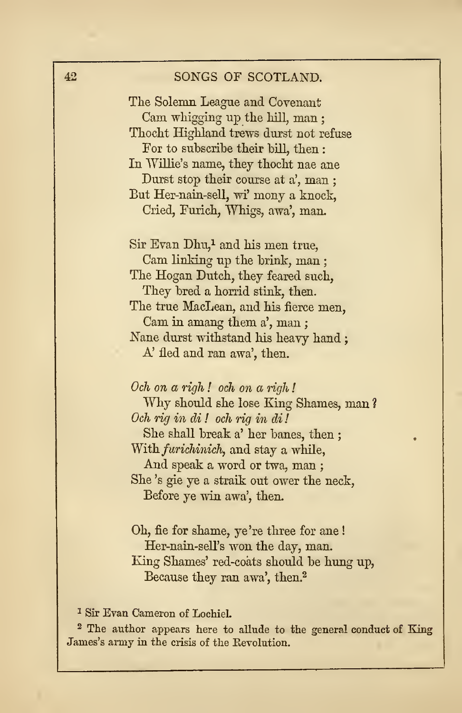| 42                          | SONGS OF SCOTLAND.                           |
|-----------------------------|----------------------------------------------|
|                             | The Solemn League and Covenant               |
|                             | Cam whigging up the hill, man;               |
|                             | Thocht Highland trews durst not refuse       |
|                             | For to subscribe their bill, then:           |
|                             | In Willie's name, they thocht nae ane        |
|                             | Durst stop their course at a', man;          |
|                             | But Her-nain-sell, wi' mony a knock,         |
|                             | Cried, Furich, Whigs, awa', man.             |
|                             | Sir Evan Dhu, <sup>1</sup> and his men true, |
|                             | Cam linking up the brink, man;               |
|                             | The Hogan Dutch, they feared such,           |
|                             | They bred a horrid stink, then.              |
|                             | The true MacLean, and his fierce men,        |
|                             | Cam in amang them a', man;                   |
|                             | Nane durst withstand his heavy hand;         |
|                             | A' fled and ran awa', then.                  |
|                             |                                              |
|                             | Och on a righ! och on a righ!                |
|                             | Why should she lose King Shames, man?        |
|                             | Och rig in di! och rig in di!                |
|                             | She shall break a' her banes, then;          |
|                             | With <i>furichinich</i> , and stay a while,  |
|                             | And speak a word or twa, man;                |
|                             | She's gie ye a straik out ower the neck,     |
|                             | Before ye win awa', then.                    |
|                             | Oh, fie for shame, ye're three for ane!      |
|                             | Her-nain-sell's won the day, man.            |
|                             | King Shames' red-coats should be hung up,    |
|                             | Because they ran awa', then. <sup>2</sup>    |
| $7^{\circ}$<br>$\mathbf{r}$ |                                              |

<sup>1</sup> Sir Evan Cameron of LochieL

<sup>2</sup> The author appears here to allude to the general conduct of King James's army in the crisis of the Revolution.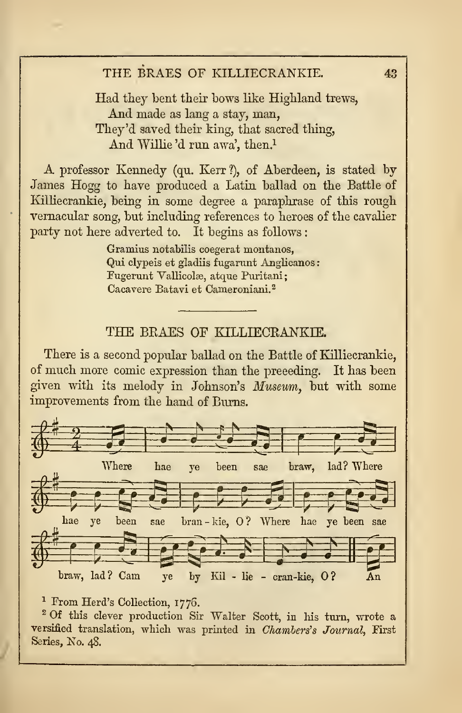# THE BRAES OF KILLIECRANKIE. 43

Had they bent their bows like Highland trews, And made as lang <sup>a</sup> stay, man, They'd saved their king, that sacred thing, And Willie 'd run awa', then.<sup>1</sup>

A professor Kennedy (qu. Kerr ?), of Aberdeen, is stated by James Hogg to have produced a Latin ballad on the Battle of Killiecrankie, being in some degree a paraphrase of this rough vernacular song, but including references to heroes of the cavalier party not here adverted to. It begins as follows :

> Gramius notabilis coegerat montanos. Qui clypeis et gladiis fugarant Anglicanos Fugerunt Vallicolæ, atque Puritani; Cacavere Batavi et Cameroniani.<sup>2</sup>

## THE BRAES OF KILLIECRANKIE.

There is a second popular ballad on the Battle of Killiecrankie, of much more comic expression than the preceding. It has been given with its melody in Johnson's Museum, but with some improvements from the hand of Burns.



### <sup>1</sup> From Herd's Collection, 1776.

<sup>2</sup> Of this clever production Sir Walter Scott, in his turn, wrote a versified translation, which was printed in Chambers's Journal, First Series, No. 48.